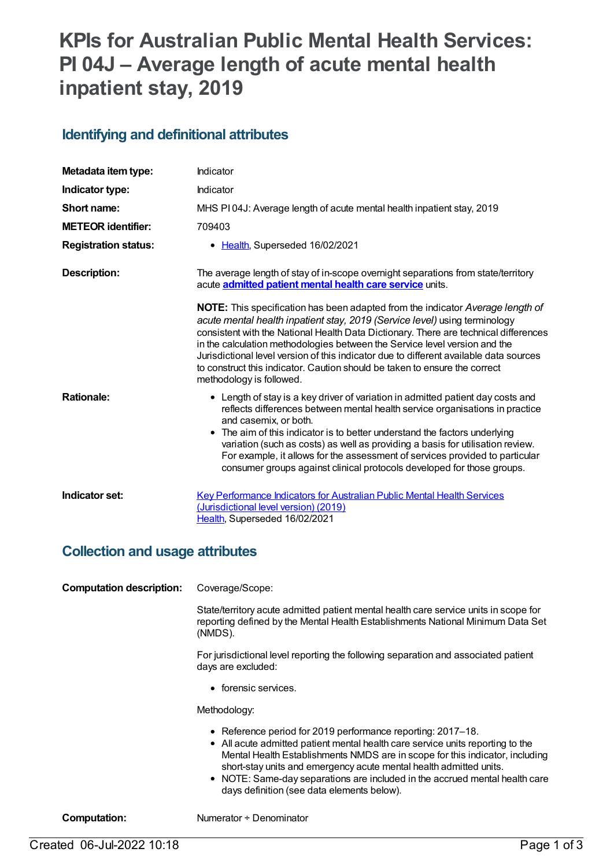# **KPIs for Australian Public Mental Health Services: PI 04J – Average length of acute mental health inpatient stay, 2019**

#### **Identifying and definitional attributes**

| Metadata item type:         | Indicator                                                                                                                                                                                                                                                                                                                                                                                                                                                                                                                                     |
|-----------------------------|-----------------------------------------------------------------------------------------------------------------------------------------------------------------------------------------------------------------------------------------------------------------------------------------------------------------------------------------------------------------------------------------------------------------------------------------------------------------------------------------------------------------------------------------------|
| Indicator type:             | Indicator                                                                                                                                                                                                                                                                                                                                                                                                                                                                                                                                     |
| Short name:                 | MHS PI04J: Average length of acute mental health inpatient stay, 2019                                                                                                                                                                                                                                                                                                                                                                                                                                                                         |
| <b>METEOR identifier:</b>   | 709403                                                                                                                                                                                                                                                                                                                                                                                                                                                                                                                                        |
| <b>Registration status:</b> | • Health, Superseded 16/02/2021                                                                                                                                                                                                                                                                                                                                                                                                                                                                                                               |
| <b>Description:</b>         | The average length of stay of in-scope overnight separations from state/territory<br>acute <b>admitted patient mental health care service</b> units.                                                                                                                                                                                                                                                                                                                                                                                          |
|                             | <b>NOTE:</b> This specification has been adapted from the indicator Average length of<br>acute mental health inpatient stay, 2019 (Service level) using terminology<br>consistent with the National Health Data Dictionary. There are technical differences<br>in the calculation methodologies between the Service level version and the<br>Jurisdictional level version of this indicator due to different available data sources<br>to construct this indicator. Caution should be taken to ensure the correct<br>methodology is followed. |
| <b>Rationale:</b>           | • Length of stay is a key driver of variation in admitted patient day costs and<br>reflects differences between mental health service organisations in practice<br>and casemix, or both.<br>• The aim of this indicator is to better understand the factors underlying<br>variation (such as costs) as well as providing a basis for utilisation review.<br>For example, it allows for the assessment of services provided to particular<br>consumer groups against clinical protocols developed for those groups.                            |
| Indicator set:              | <b>Key Performance Indicators for Australian Public Mental Health Services</b><br>(Jurisdictional level version) (2019)<br>Health, Superseded 16/02/2021                                                                                                                                                                                                                                                                                                                                                                                      |

#### **Collection and usage attributes**

**Computation description:** Coverage/Scope:

State/territory acute admitted patient mental health care service units in scope for reporting defined by the Mental Health Establishments National Minimum Data Set (NMDS).

For jurisdictional level reporting the following separation and associated patient days are excluded:

• forensic services.

Methodology:

- Reference period for 2019 performance reporting: 2017–18.
- All acute admitted patient mental health care service units reporting to the Mental Health Establishments NMDS are in scope for this indicator, including short-stay units and emergency acute mental health admitted units.
- NOTE: Same-day separations are included in the accrued mental health care days definition (see data elements below).

**Computation:** Numerator ÷ Denominator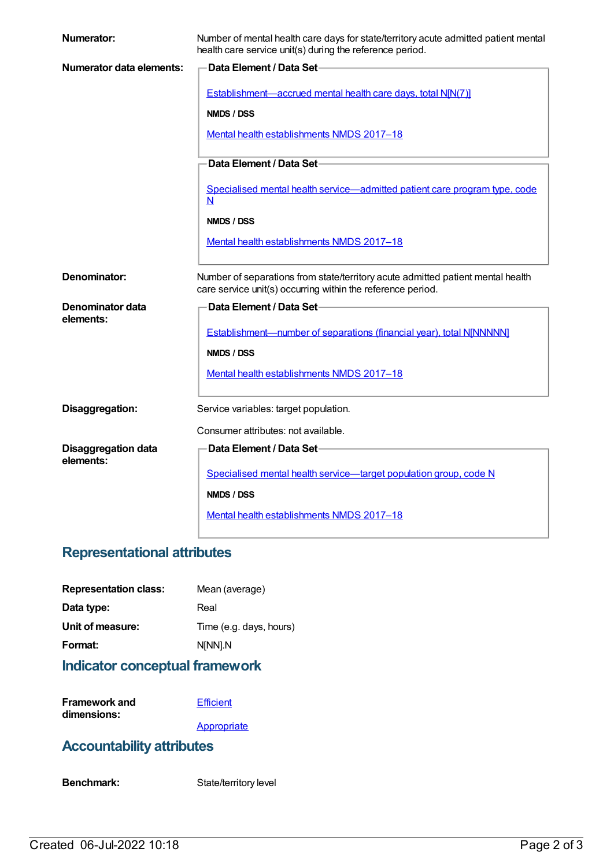| <b>Numerator:</b>                       | Number of mental health care days for state/territory acute admitted patient mental<br>health care service unit(s) during the reference period. |
|-----------------------------------------|-------------------------------------------------------------------------------------------------------------------------------------------------|
| Numerator data elements:                | Data Element / Data Set-                                                                                                                        |
|                                         | Establishment—accrued mental health care days, total N[N(7)]                                                                                    |
|                                         | NMDS / DSS                                                                                                                                      |
|                                         | Mental health establishments NMDS 2017-18                                                                                                       |
|                                         | Data Element / Data Set-                                                                                                                        |
|                                         |                                                                                                                                                 |
|                                         | Specialised mental health service-admitted patient care program type, code<br>N                                                                 |
|                                         | NMDS / DSS                                                                                                                                      |
|                                         | Mental health establishments NMDS 2017-18                                                                                                       |
|                                         |                                                                                                                                                 |
| Denominator:                            | Number of separations from state/territory acute admitted patient mental health<br>care service unit(s) occurring within the reference period.  |
| Denominator data                        | Data Element / Data Set-                                                                                                                        |
| elements:                               | <b>Establishment-number of separations (financial year), total NJNNNNNJ</b>                                                                     |
|                                         |                                                                                                                                                 |
|                                         | NMDS / DSS                                                                                                                                      |
|                                         | Mental health establishments NMDS 2017-18                                                                                                       |
| Disaggregation:                         | Service variables: target population.                                                                                                           |
|                                         | Consumer attributes: not available.                                                                                                             |
| <b>Disaggregation data</b><br>elements: | Data Element / Data Set-                                                                                                                        |
|                                         | Specialised mental health service-target population group, code N                                                                               |
|                                         | NMDS / DSS                                                                                                                                      |
|                                         | Mental health establishments NMDS 2017-18                                                                                                       |
|                                         |                                                                                                                                                 |

# **Representational attributes**

| Mean (average)          |
|-------------------------|
| Real                    |
| Time (e.g. days, hours) |
| N[NN].N                 |
|                         |

### **Indicator conceptual framework**

| <b>Framework and</b> | Efficient   |
|----------------------|-------------|
| dimensions:          |             |
|                      | Appropriate |

### **Accountability attributes**

Benchmark: State/territory level